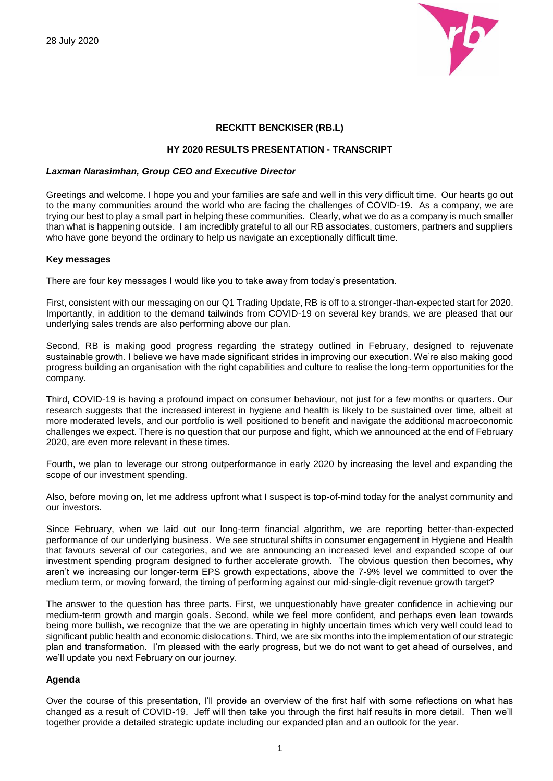

# **RECKITT BENCKISER (RB.L)**

# **HY 2020 RESULTS PRESENTATION - TRANSCRIPT**

### *Laxman Narasimhan, Group CEO and Executive Director*

Greetings and welcome. I hope you and your families are safe and well in this very difficult time. Our hearts go out to the many communities around the world who are facing the challenges of COVID-19. As a company, we are trying our best to play a small part in helping these communities. Clearly, what we do as a company is much smaller than what is happening outside. I am incredibly grateful to all our RB associates, customers, partners and suppliers who have gone beyond the ordinary to help us navigate an exceptionally difficult time.

## **Key messages**

There are four key messages I would like you to take away from today's presentation.

First, consistent with our messaging on our Q1 Trading Update, RB is off to a stronger-than-expected start for 2020. Importantly, in addition to the demand tailwinds from COVID-19 on several key brands, we are pleased that our underlying sales trends are also performing above our plan.

Second, RB is making good progress regarding the strategy outlined in February, designed to rejuvenate sustainable growth. I believe we have made significant strides in improving our execution. We're also making good progress building an organisation with the right capabilities and culture to realise the long-term opportunities for the company.

Third, COVID-19 is having a profound impact on consumer behaviour, not just for a few months or quarters. Our research suggests that the increased interest in hygiene and health is likely to be sustained over time, albeit at more moderated levels, and our portfolio is well positioned to benefit and navigate the additional macroeconomic challenges we expect. There is no question that our purpose and fight, which we announced at the end of February 2020, are even more relevant in these times.

Fourth, we plan to leverage our strong outperformance in early 2020 by increasing the level and expanding the scope of our investment spending.

Also, before moving on, let me address upfront what I suspect is top-of-mind today for the analyst community and our investors.

Since February, when we laid out our long-term financial algorithm, we are reporting better-than-expected performance of our underlying business. We see structural shifts in consumer engagement in Hygiene and Health that favours several of our categories, and we are announcing an increased level and expanded scope of our investment spending program designed to further accelerate growth. The obvious question then becomes, why aren't we increasing our longer-term EPS growth expectations, above the 7-9% level we committed to over the medium term, or moving forward, the timing of performing against our mid-single-digit revenue growth target?

The answer to the question has three parts. First, we unquestionably have greater confidence in achieving our medium-term growth and margin goals. Second, while we feel more confident, and perhaps even lean towards being more bullish, we recognize that the we are operating in highly uncertain times which very well could lead to significant public health and economic dislocations. Third, we are six months into the implementation of our strategic plan and transformation. I'm pleased with the early progress, but we do not want to get ahead of ourselves, and we'll update you next February on our journey.

# **Agenda**

Over the course of this presentation, I'll provide an overview of the first half with some reflections on what has changed as a result of COVID-19. Jeff will then take you through the first half results in more detail. Then we'll together provide a detailed strategic update including our expanded plan and an outlook for the year.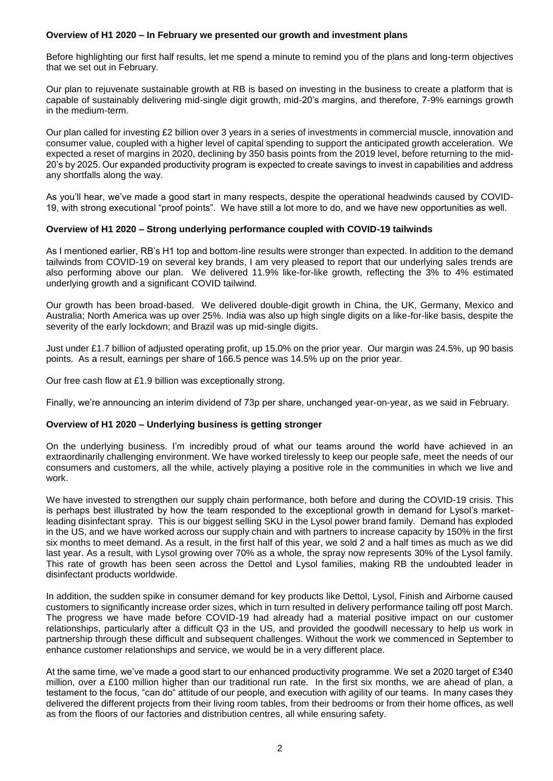# **Overview of H1 2020 – In February we presented our growth and investment plans**

Before highlighting our first half results, let me spend a minute to remind you of the plans and long-term objectives that we set out in February.

Our plan to rejuvenate sustainable growth at RB is based on investing in the business to create a platform that is capable of sustainably delivering mid-single digit growth, mid-20's margins, and therefore, 7-9% earnings growth in the medium-term.

Our plan called for investing £2 billion over 3 years in a series of investments in commercial muscle, innovation and consumer value, coupled with a higher level of capital spending to support the anticipated growth acceleration. We expected a reset of margins in 2020, declining by 350 basis points from the 2019 level, before returning to the mid-20's by 2025. Our expanded productivity program is expected to create savings to invest in capabilities and address any shortfalls along the way.

As you'll hear, we've made a good start in many respects, despite the operational headwinds caused by COVID-19, with strong executional "proof points". We have still a lot more to do, and we have new opportunities as well.

# **Overview of H1 2020 – Strong underlying performance coupled with COVID-19 tailwinds**

As I mentioned earlier, RB's H1 top and bottom-line results were stronger than expected. In addition to the demand tailwinds from COVID-19 on several key brands, I am very pleased to report that our underlying sales trends are also performing above our plan. We delivered 11.9% like-for-like growth, reflecting the 3% to 4% estimated underlying growth and a significant COVID tailwind.

Our growth has been broad-based. We delivered double-digit growth in China, the UK, Germany, Mexico and Australia; North America was up over 25%. India was also up high single digits on a like-for-like basis, despite the severity of the early lockdown; and Brazil was up mid-single digits.

Just under £1.7 billion of adjusted operating profit, up 15.0% on the prior year. Our margin was 24.5%, up 90 basis points. As a result, earnings per share of 166.5 pence was 14.5% up on the prior year.

Our free cash flow at £1.9 billion was exceptionally strong.

Finally, we're announcing an interim dividend of 73p per share, unchanged year-on-year, as we said in February.

# **Overview of H1 2020 – Underlying business is getting stronger**

On the underlying business. I'm incredibly proud of what our teams around the world have achieved in an extraordinarily challenging environment. We have worked tirelessly to keep our people safe, meet the needs of our consumers and customers, all the while, actively playing a positive role in the communities in which we live and work.

We have invested to strengthen our supply chain performance, both before and during the COVID-19 crisis. This is perhaps best illustrated by how the team responded to the exceptional growth in demand for Lysol's marketleading disinfectant spray. This is our biggest selling SKU in the Lysol power brand family. Demand has exploded in the US, and we have worked across our supply chain and with partners to increase capacity by 150% in the first six months to meet demand. As a result, in the first half of this year, we sold 2 and a half times as much as we did last year. As a result, with Lysol growing over 70% as a whole, the spray now represents 30% of the Lysol family. This rate of growth has been seen across the Dettol and Lysol families, making RB the undoubted leader in disinfectant products worldwide.

In addition, the sudden spike in consumer demand for key products like Dettol, Lysol, Finish and Airborne caused customers to significantly increase order sizes, which in turn resulted in delivery performance tailing off post March. The progress we have made before COVID-19 had already had a material positive impact on our customer relationships, particularly after a difficult Q3 in the US, and provided the goodwill necessary to help us work in partnership through these difficult and subsequent challenges. Without the work we commenced in September to enhance customer relationships and service, we would be in a very different place.

At the same time, we've made a good start to our enhanced productivity programme. We set a 2020 target of £340 million, over a £100 million higher than our traditional run rate. In the first six months, we are ahead of plan, a testament to the focus, "can do" attitude of our people, and execution with agility of our teams. In many cases they delivered the different projects from their living room tables, from their bedrooms or from their home offices, as well as from the floors of our factories and distribution centres, all while ensuring safety.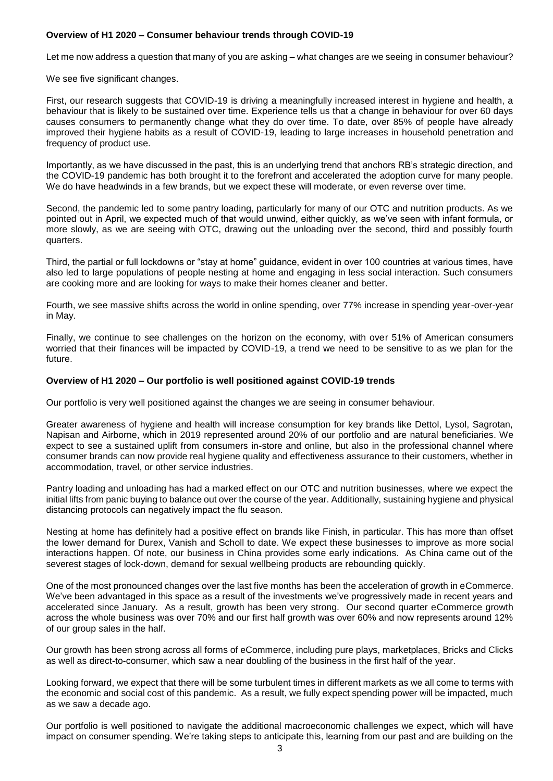# **Overview of H1 2020 – Consumer behaviour trends through COVID-19**

Let me now address a question that many of you are asking – what changes are we seeing in consumer behaviour?

We see five significant changes.

First, our research suggests that COVID-19 is driving a meaningfully increased interest in hygiene and health, a behaviour that is likely to be sustained over time. Experience tells us that a change in behaviour for over 60 days causes consumers to permanently change what they do over time. To date, over 85% of people have already improved their hygiene habits as a result of COVID-19, leading to large increases in household penetration and frequency of product use.

Importantly, as we have discussed in the past, this is an underlying trend that anchors RB's strategic direction, and the COVID-19 pandemic has both brought it to the forefront and accelerated the adoption curve for many people. We do have headwinds in a few brands, but we expect these will moderate, or even reverse over time.

Second, the pandemic led to some pantry loading, particularly for many of our OTC and nutrition products. As we pointed out in April, we expected much of that would unwind, either quickly, as we've seen with infant formula, or more slowly, as we are seeing with OTC, drawing out the unloading over the second, third and possibly fourth quarters.

Third, the partial or full lockdowns or "stay at home" guidance, evident in over 100 countries at various times, have also led to large populations of people nesting at home and engaging in less social interaction. Such consumers are cooking more and are looking for ways to make their homes cleaner and better.

Fourth, we see massive shifts across the world in online spending, over 77% increase in spending year-over-year in May.

Finally, we continue to see challenges on the horizon on the economy, with over 51% of American consumers worried that their finances will be impacted by COVID-19, a trend we need to be sensitive to as we plan for the future.

# **Overview of H1 2020 – Our portfolio is well positioned against COVID-19 trends**

Our portfolio is very well positioned against the changes we are seeing in consumer behaviour.

Greater awareness of hygiene and health will increase consumption for key brands like Dettol, Lysol, Sagrotan, Napisan and Airborne, which in 2019 represented around 20% of our portfolio and are natural beneficiaries. We expect to see a sustained uplift from consumers in-store and online, but also in the professional channel where consumer brands can now provide real hygiene quality and effectiveness assurance to their customers, whether in accommodation, travel, or other service industries.

Pantry loading and unloading has had a marked effect on our OTC and nutrition businesses, where we expect the initial lifts from panic buying to balance out over the course of the year. Additionally, sustaining hygiene and physical distancing protocols can negatively impact the flu season.

Nesting at home has definitely had a positive effect on brands like Finish, in particular. This has more than offset the lower demand for Durex, Vanish and Scholl to date. We expect these businesses to improve as more social interactions happen. Of note, our business in China provides some early indications. As China came out of the severest stages of lock-down, demand for sexual wellbeing products are rebounding quickly.

One of the most pronounced changes over the last five months has been the acceleration of growth in eCommerce. We've been advantaged in this space as a result of the investments we've progressively made in recent years and accelerated since January. As a result, growth has been very strong. Our second quarter eCommerce growth across the whole business was over 70% and our first half growth was over 60% and now represents around 12% of our group sales in the half.

Our growth has been strong across all forms of eCommerce, including pure plays, marketplaces, Bricks and Clicks as well as direct-to-consumer, which saw a near doubling of the business in the first half of the year.

Looking forward, we expect that there will be some turbulent times in different markets as we all come to terms with the economic and social cost of this pandemic. As a result, we fully expect spending power will be impacted, much as we saw a decade ago.

Our portfolio is well positioned to navigate the additional macroeconomic challenges we expect, which will have impact on consumer spending. We're taking steps to anticipate this, learning from our past and are building on the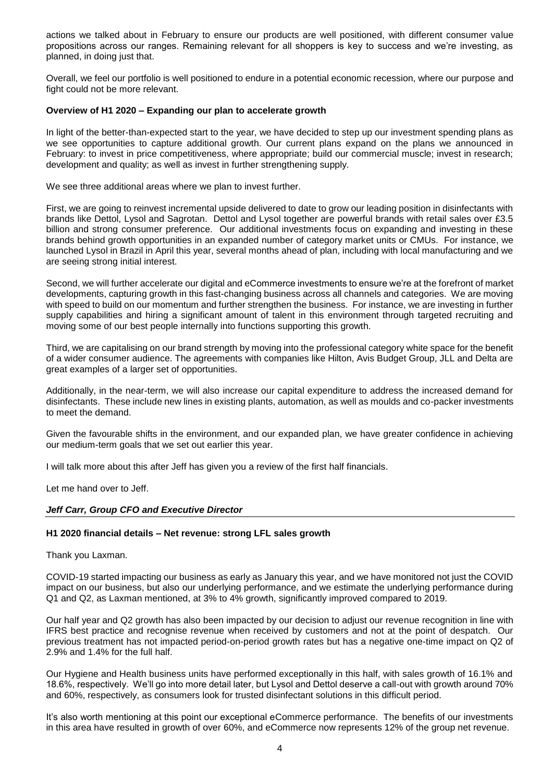actions we talked about in February to ensure our products are well positioned, with different consumer value propositions across our ranges. Remaining relevant for all shoppers is key to success and we're investing, as planned, in doing just that.

Overall, we feel our portfolio is well positioned to endure in a potential economic recession, where our purpose and fight could not be more relevant.

## **Overview of H1 2020 – Expanding our plan to accelerate growth**

In light of the better-than-expected start to the year, we have decided to step up our investment spending plans as we see opportunities to capture additional growth. Our current plans expand on the plans we announced in February: to invest in price competitiveness, where appropriate; build our commercial muscle; invest in research; development and quality; as well as invest in further strengthening supply.

We see three additional areas where we plan to invest further.

First, we are going to reinvest incremental upside delivered to date to grow our leading position in disinfectants with brands like Dettol, Lysol and Sagrotan. Dettol and Lysol together are powerful brands with retail sales over £3.5 billion and strong consumer preference. Our additional investments focus on expanding and investing in these brands behind growth opportunities in an expanded number of category market units or CMUs. For instance, we launched Lysol in Brazil in April this year, several months ahead of plan, including with local manufacturing and we are seeing strong initial interest.

Second, we will further accelerate our digital and eCommerce investments to ensure we're at the forefront of market developments, capturing growth in this fast-changing business across all channels and categories. We are moving with speed to build on our momentum and further strengthen the business. For instance, we are investing in further supply capabilities and hiring a significant amount of talent in this environment through targeted recruiting and moving some of our best people internally into functions supporting this growth.

Third, we are capitalising on our brand strength by moving into the professional category white space for the benefit of a wider consumer audience. The agreements with companies like Hilton, Avis Budget Group, JLL and Delta are great examples of a larger set of opportunities.

Additionally, in the near-term, we will also increase our capital expenditure to address the increased demand for disinfectants. These include new lines in existing plants, automation, as well as moulds and co-packer investments to meet the demand.

Given the favourable shifts in the environment, and our expanded plan, we have greater confidence in achieving our medium-term goals that we set out earlier this year.

I will talk more about this after Jeff has given you a review of the first half financials.

Let me hand over to Jeff.

### *Jeff Carr, Group CFO and Executive Director*

### **H1 2020 financial details – Net revenue: strong LFL sales growth**

Thank you Laxman.

COVID-19 started impacting our business as early as January this year, and we have monitored not just the COVID impact on our business, but also our underlying performance, and we estimate the underlying performance during Q1 and Q2, as Laxman mentioned, at 3% to 4% growth, significantly improved compared to 2019.

Our half year and Q2 growth has also been impacted by our decision to adjust our revenue recognition in line with IFRS best practice and recognise revenue when received by customers and not at the point of despatch. Our previous treatment has not impacted period-on-period growth rates but has a negative one-time impact on Q2 of 2.9% and 1.4% for the full half.

Our Hygiene and Health business units have performed exceptionally in this half, with sales growth of 16.1% and 18.6%, respectively. We'll go into more detail later, but Lysol and Dettol deserve a call-out with growth around 70% and 60%, respectively, as consumers look for trusted disinfectant solutions in this difficult period.

It's also worth mentioning at this point our exceptional eCommerce performance. The benefits of our investments in this area have resulted in growth of over 60%, and eCommerce now represents 12% of the group net revenue.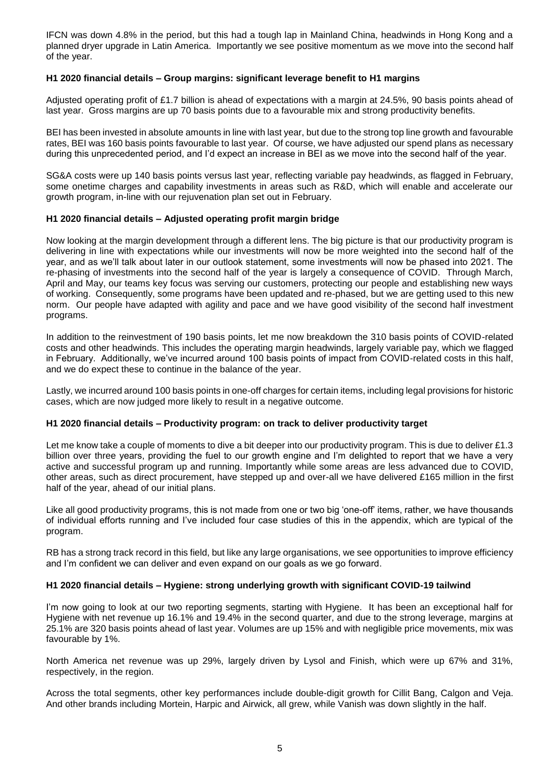IFCN was down 4.8% in the period, but this had a tough lap in Mainland China, headwinds in Hong Kong and a planned dryer upgrade in Latin America. Importantly we see positive momentum as we move into the second half of the year.

# **H1 2020 financial details – Group margins: significant leverage benefit to H1 margins**

Adjusted operating profit of £1.7 billion is ahead of expectations with a margin at 24.5%, 90 basis points ahead of last year. Gross margins are up 70 basis points due to a favourable mix and strong productivity benefits.

BEI has been invested in absolute amounts in line with last year, but due to the strong top line growth and favourable rates, BEI was 160 basis points favourable to last year. Of course, we have adjusted our spend plans as necessary during this unprecedented period, and I'd expect an increase in BEI as we move into the second half of the year.

SG&A costs were up 140 basis points versus last year, reflecting variable pay headwinds, as flagged in February, some onetime charges and capability investments in areas such as R&D, which will enable and accelerate our growth program, in-line with our rejuvenation plan set out in February.

# **H1 2020 financial details – Adjusted operating profit margin bridge**

Now looking at the margin development through a different lens. The big picture is that our productivity program is delivering in line with expectations while our investments will now be more weighted into the second half of the year, and as we'll talk about later in our outlook statement, some investments will now be phased into 2021. The re-phasing of investments into the second half of the year is largely a consequence of COVID. Through March, April and May, our teams key focus was serving our customers, protecting our people and establishing new ways of working. Consequently, some programs have been updated and re-phased, but we are getting used to this new norm. Our people have adapted with agility and pace and we have good visibility of the second half investment programs.

In addition to the reinvestment of 190 basis points, let me now breakdown the 310 basis points of COVID-related costs and other headwinds. This includes the operating margin headwinds, largely variable pay, which we flagged in February. Additionally, we've incurred around 100 basis points of impact from COVID-related costs in this half, and we do expect these to continue in the balance of the year.

Lastly, we incurred around 100 basis points in one-off charges for certain items, including legal provisions for historic cases, which are now judged more likely to result in a negative outcome.

### **H1 2020 financial details – Productivity program: on track to deliver productivity target**

Let me know take a couple of moments to dive a bit deeper into our productivity program. This is due to deliver £1.3 billion over three years, providing the fuel to our growth engine and I'm delighted to report that we have a very active and successful program up and running. Importantly while some areas are less advanced due to COVID, other areas, such as direct procurement, have stepped up and over-all we have delivered £165 million in the first half of the year, ahead of our initial plans.

Like all good productivity programs, this is not made from one or two big 'one-off' items, rather, we have thousands of individual efforts running and I've included four case studies of this in the appendix, which are typical of the program.

RB has a strong track record in this field, but like any large organisations, we see opportunities to improve efficiency and I'm confident we can deliver and even expand on our goals as we go forward.

### **H1 2020 financial details – Hygiene: strong underlying growth with significant COVID-19 tailwind**

I'm now going to look at our two reporting segments, starting with Hygiene. It has been an exceptional half for Hygiene with net revenue up 16.1% and 19.4% in the second quarter, and due to the strong leverage, margins at 25.1% are 320 basis points ahead of last year. Volumes are up 15% and with negligible price movements, mix was favourable by 1%.

North America net revenue was up 29%, largely driven by Lysol and Finish, which were up 67% and 31%, respectively, in the region.

Across the total segments, other key performances include double-digit growth for Cillit Bang, Calgon and Veja. And other brands including Mortein, Harpic and Airwick, all grew, while Vanish was down slightly in the half.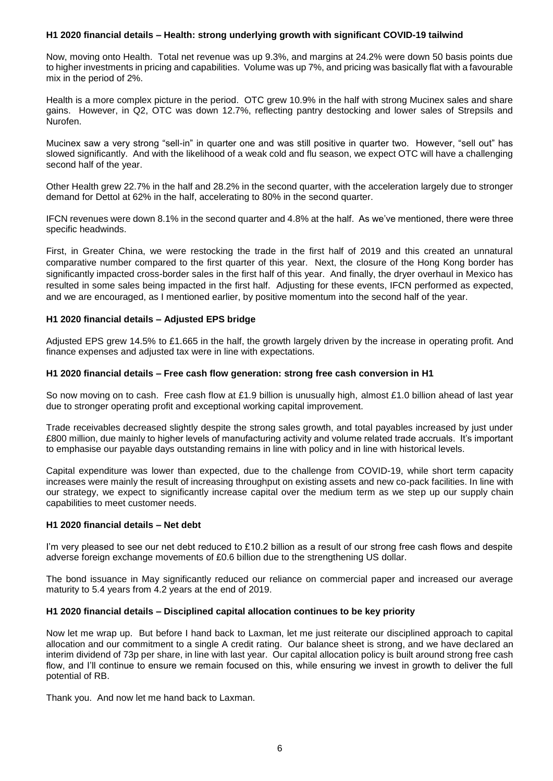## **H1 2020 financial details – Health: strong underlying growth with significant COVID-19 tailwind**

Now, moving onto Health. Total net revenue was up 9.3%, and margins at 24.2% were down 50 basis points due to higher investments in pricing and capabilities. Volume was up 7%, and pricing was basically flat with a favourable mix in the period of 2%.

Health is a more complex picture in the period. OTC grew 10.9% in the half with strong Mucinex sales and share gains. However, in Q2, OTC was down 12.7%, reflecting pantry destocking and lower sales of Strepsils and Nurofen.

Mucinex saw a very strong "sell-in" in quarter one and was still positive in quarter two. However, "sell out" has slowed significantly. And with the likelihood of a weak cold and flu season, we expect OTC will have a challenging second half of the year.

Other Health grew 22.7% in the half and 28.2% in the second quarter, with the acceleration largely due to stronger demand for Dettol at 62% in the half, accelerating to 80% in the second quarter.

IFCN revenues were down 8.1% in the second quarter and 4.8% at the half. As we've mentioned, there were three specific headwinds.

First, in Greater China, we were restocking the trade in the first half of 2019 and this created an unnatural comparative number compared to the first quarter of this year. Next, the closure of the Hong Kong border has significantly impacted cross-border sales in the first half of this year. And finally, the dryer overhaul in Mexico has resulted in some sales being impacted in the first half. Adjusting for these events, IFCN performed as expected, and we are encouraged, as I mentioned earlier, by positive momentum into the second half of the year.

# **H1 2020 financial details – Adjusted EPS bridge**

Adjusted EPS grew 14.5% to £1.665 in the half, the growth largely driven by the increase in operating profit. And finance expenses and adjusted tax were in line with expectations.

# **H1 2020 financial details – Free cash flow generation: strong free cash conversion in H1**

So now moving on to cash. Free cash flow at £1.9 billion is unusually high, almost £1.0 billion ahead of last year due to stronger operating profit and exceptional working capital improvement.

Trade receivables decreased slightly despite the strong sales growth, and total payables increased by just under £800 million, due mainly to higher levels of manufacturing activity and volume related trade accruals. It's important to emphasise our payable days outstanding remains in line with policy and in line with historical levels.

Capital expenditure was lower than expected, due to the challenge from COVID-19, while short term capacity increases were mainly the result of increasing throughput on existing assets and new co-pack facilities. In line with our strategy, we expect to significantly increase capital over the medium term as we step up our supply chain capabilities to meet customer needs.

## **H1 2020 financial details – Net debt**

I'm very pleased to see our net debt reduced to £10.2 billion as a result of our strong free cash flows and despite adverse foreign exchange movements of £0.6 billion due to the strengthening US dollar.

The bond issuance in May significantly reduced our reliance on commercial paper and increased our average maturity to 5.4 years from 4.2 years at the end of 2019.

### **H1 2020 financial details – Disciplined capital allocation continues to be key priority**

Now let me wrap up. But before I hand back to Laxman, let me just reiterate our disciplined approach to capital allocation and our commitment to a single A credit rating. Our balance sheet is strong, and we have declared an interim dividend of 73p per share, in line with last year. Our capital allocation policy is built around strong free cash flow, and I'll continue to ensure we remain focused on this, while ensuring we invest in growth to deliver the full potential of RB.

Thank you. And now let me hand back to Laxman.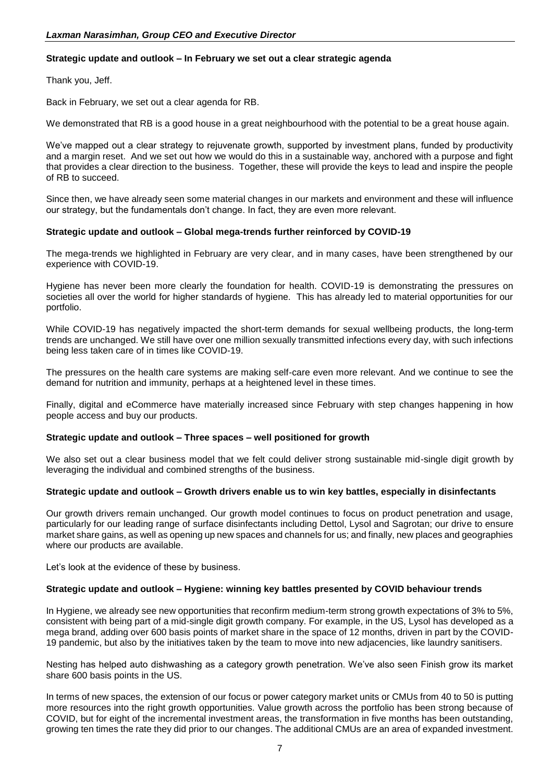# **Strategic update and outlook – In February we set out a clear strategic agenda**

Thank you, Jeff.

Back in February, we set out a clear agenda for RB.

We demonstrated that RB is a good house in a great neighbourhood with the potential to be a great house again.

We've mapped out a clear strategy to rejuvenate growth, supported by investment plans, funded by productivity and a margin reset. And we set out how we would do this in a sustainable way, anchored with a purpose and fight that provides a clear direction to the business. Together, these will provide the keys to lead and inspire the people of RB to succeed.

Since then, we have already seen some material changes in our markets and environment and these will influence our strategy, but the fundamentals don't change. In fact, they are even more relevant.

# **Strategic update and outlook – Global mega-trends further reinforced by COVID-19**

The mega-trends we highlighted in February are very clear, and in many cases, have been strengthened by our experience with COVID-19.

Hygiene has never been more clearly the foundation for health. COVID-19 is demonstrating the pressures on societies all over the world for higher standards of hygiene. This has already led to material opportunities for our portfolio.

While COVID-19 has negatively impacted the short-term demands for sexual wellbeing products, the long-term trends are unchanged. We still have over one million sexually transmitted infections every day, with such infections being less taken care of in times like COVID-19.

The pressures on the health care systems are making self-care even more relevant. And we continue to see the demand for nutrition and immunity, perhaps at a heightened level in these times.

Finally, digital and eCommerce have materially increased since February with step changes happening in how people access and buy our products.

# **Strategic update and outlook – Three spaces – well positioned for growth**

We also set out a clear business model that we felt could deliver strong sustainable mid-single digit growth by leveraging the individual and combined strengths of the business.

### **Strategic update and outlook – Growth drivers enable us to win key battles, especially in disinfectants**

Our growth drivers remain unchanged. Our growth model continues to focus on product penetration and usage, particularly for our leading range of surface disinfectants including Dettol, Lysol and Sagrotan; our drive to ensure market share gains, as well as opening up new spaces and channels for us; and finally, new places and geographies where our products are available.

Let's look at the evidence of these by business.

### **Strategic update and outlook – Hygiene: winning key battles presented by COVID behaviour trends**

In Hygiene, we already see new opportunities that reconfirm medium-term strong growth expectations of 3% to 5%, consistent with being part of a mid-single digit growth company. For example, in the US, Lysol has developed as a mega brand, adding over 600 basis points of market share in the space of 12 months, driven in part by the COVID-19 pandemic, but also by the initiatives taken by the team to move into new adjacencies, like laundry sanitisers.

Nesting has helped auto dishwashing as a category growth penetration. We've also seen Finish grow its market share 600 basis points in the US.

In terms of new spaces, the extension of our focus or power category market units or CMUs from 40 to 50 is putting more resources into the right growth opportunities. Value growth across the portfolio has been strong because of COVID, but for eight of the incremental investment areas, the transformation in five months has been outstanding, growing ten times the rate they did prior to our changes. The additional CMUs are an area of expanded investment.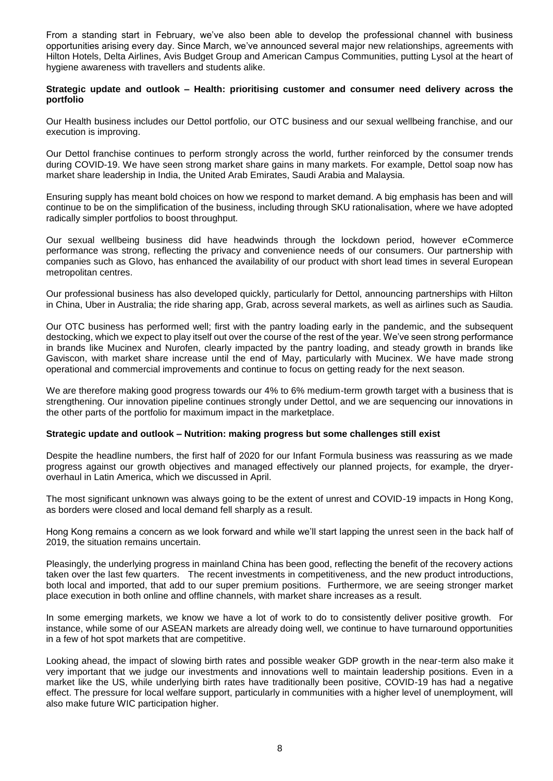From a standing start in February, we've also been able to develop the professional channel with business opportunities arising every day. Since March, we've announced several major new relationships, agreements with Hilton Hotels, Delta Airlines, Avis Budget Group and American Campus Communities, putting Lysol at the heart of hygiene awareness with travellers and students alike.

## **Strategic update and outlook – Health: prioritising customer and consumer need delivery across the portfolio**

Our Health business includes our Dettol portfolio, our OTC business and our sexual wellbeing franchise, and our execution is improving.

Our Dettol franchise continues to perform strongly across the world, further reinforced by the consumer trends during COVID-19. We have seen strong market share gains in many markets. For example, Dettol soap now has market share leadership in India, the United Arab Emirates, Saudi Arabia and Malaysia.

Ensuring supply has meant bold choices on how we respond to market demand. A big emphasis has been and will continue to be on the simplification of the business, including through SKU rationalisation, where we have adopted radically simpler portfolios to boost throughput.

Our sexual wellbeing business did have headwinds through the lockdown period, however eCommerce performance was strong, reflecting the privacy and convenience needs of our consumers. Our partnership with companies such as Glovo, has enhanced the availability of our product with short lead times in several European metropolitan centres.

Our professional business has also developed quickly, particularly for Dettol, announcing partnerships with Hilton in China, Uber in Australia; the ride sharing app, Grab, across several markets, as well as airlines such as Saudia.

Our OTC business has performed well; first with the pantry loading early in the pandemic, and the subsequent destocking, which we expect to play itself out over the course of the rest of the year. We've seen strong performance in brands like Mucinex and Nurofen, clearly impacted by the pantry loading, and steady growth in brands like Gaviscon, with market share increase until the end of May, particularly with Mucinex. We have made strong operational and commercial improvements and continue to focus on getting ready for the next season.

We are therefore making good progress towards our 4% to 6% medium-term growth target with a business that is strengthening. Our innovation pipeline continues strongly under Dettol, and we are sequencing our innovations in the other parts of the portfolio for maximum impact in the marketplace.

### **Strategic update and outlook – Nutrition: making progress but some challenges still exist**

Despite the headline numbers, the first half of 2020 for our Infant Formula business was reassuring as we made progress against our growth objectives and managed effectively our planned projects, for example, the dryeroverhaul in Latin America, which we discussed in April.

The most significant unknown was always going to be the extent of unrest and COVID-19 impacts in Hong Kong, as borders were closed and local demand fell sharply as a result.

Hong Kong remains a concern as we look forward and while we'll start lapping the unrest seen in the back half of 2019, the situation remains uncertain.

Pleasingly, the underlying progress in mainland China has been good, reflecting the benefit of the recovery actions taken over the last few quarters. The recent investments in competitiveness, and the new product introductions, both local and imported, that add to our super premium positions. Furthermore, we are seeing stronger market place execution in both online and offline channels, with market share increases as a result.

In some emerging markets, we know we have a lot of work to do to consistently deliver positive growth. For instance, while some of our ASEAN markets are already doing well, we continue to have turnaround opportunities in a few of hot spot markets that are competitive.

Looking ahead, the impact of slowing birth rates and possible weaker GDP growth in the near-term also make it very important that we judge our investments and innovations well to maintain leadership positions. Even in a market like the US, while underlying birth rates have traditionally been positive, COVID-19 has had a negative effect. The pressure for local welfare support, particularly in communities with a higher level of unemployment, will also make future WIC participation higher.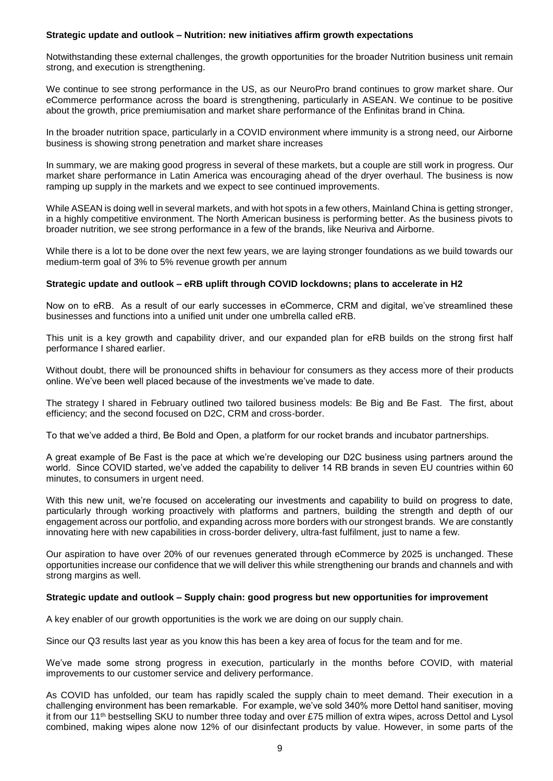# **Strategic update and outlook – Nutrition: new initiatives affirm growth expectations**

Notwithstanding these external challenges, the growth opportunities for the broader Nutrition business unit remain strong, and execution is strengthening.

We continue to see strong performance in the US, as our NeuroPro brand continues to grow market share. Our eCommerce performance across the board is strengthening, particularly in ASEAN. We continue to be positive about the growth, price premiumisation and market share performance of the Enfinitas brand in China.

In the broader nutrition space, particularly in a COVID environment where immunity is a strong need, our Airborne business is showing strong penetration and market share increases

In summary, we are making good progress in several of these markets, but a couple are still work in progress. Our market share performance in Latin America was encouraging ahead of the dryer overhaul. The business is now ramping up supply in the markets and we expect to see continued improvements.

While ASEAN is doing well in several markets, and with hot spots in a few others, Mainland China is getting stronger, in a highly competitive environment. The North American business is performing better. As the business pivots to broader nutrition, we see strong performance in a few of the brands, like Neuriva and Airborne.

While there is a lot to be done over the next few years, we are laying stronger foundations as we build towards our medium-term goal of 3% to 5% revenue growth per annum

# **Strategic update and outlook – eRB uplift through COVID lockdowns; plans to accelerate in H2**

Now on to eRB. As a result of our early successes in eCommerce, CRM and digital, we've streamlined these businesses and functions into a unified unit under one umbrella called eRB.

This unit is a key growth and capability driver, and our expanded plan for eRB builds on the strong first half performance I shared earlier.

Without doubt, there will be pronounced shifts in behaviour for consumers as they access more of their products online. We've been well placed because of the investments we've made to date.

The strategy I shared in February outlined two tailored business models: Be Big and Be Fast. The first, about efficiency; and the second focused on D2C, CRM and cross-border.

To that we've added a third, Be Bold and Open, a platform for our rocket brands and incubator partnerships.

A great example of Be Fast is the pace at which we're developing our D2C business using partners around the world. Since COVID started, we've added the capability to deliver 14 RB brands in seven EU countries within 60 minutes, to consumers in urgent need.

With this new unit, we're focused on accelerating our investments and capability to build on progress to date, particularly through working proactively with platforms and partners, building the strength and depth of our engagement across our portfolio, and expanding across more borders with our strongest brands. We are constantly innovating here with new capabilities in cross-border delivery, ultra-fast fulfilment, just to name a few.

Our aspiration to have over 20% of our revenues generated through eCommerce by 2025 is unchanged. These opportunities increase our confidence that we will deliver this while strengthening our brands and channels and with strong margins as well.

# **Strategic update and outlook – Supply chain: good progress but new opportunities for improvement**

A key enabler of our growth opportunities is the work we are doing on our supply chain.

Since our Q3 results last year as you know this has been a key area of focus for the team and for me.

We've made some strong progress in execution, particularly in the months before COVID, with material improvements to our customer service and delivery performance.

As COVID has unfolded, our team has rapidly scaled the supply chain to meet demand. Their execution in a challenging environment has been remarkable. For example, we've sold 340% more Dettol hand sanitiser, moving it from our 11th bestselling SKU to number three today and over £75 million of extra wipes, across Dettol and Lysol combined, making wipes alone now 12% of our disinfectant products by value. However, in some parts of the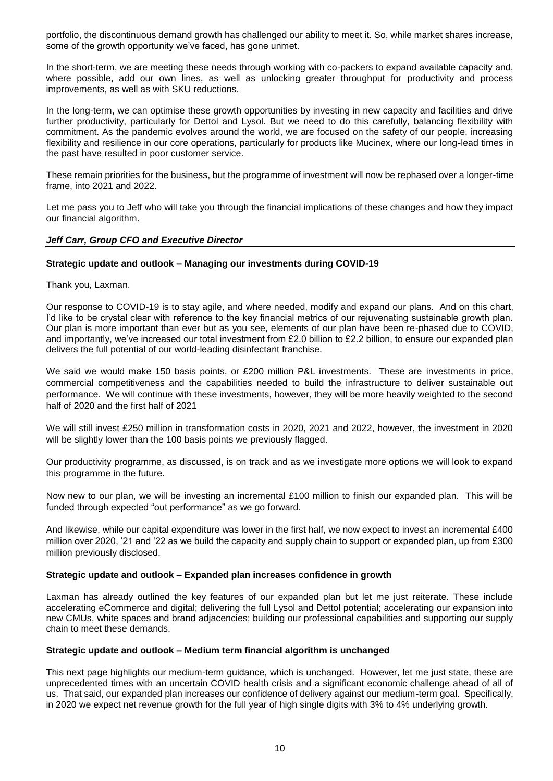portfolio, the discontinuous demand growth has challenged our ability to meet it. So, while market shares increase, some of the growth opportunity we've faced, has gone unmet.

In the short-term, we are meeting these needs through working with co-packers to expand available capacity and, where possible, add our own lines, as well as unlocking greater throughput for productivity and process improvements, as well as with SKU reductions.

In the long-term, we can optimise these growth opportunities by investing in new capacity and facilities and drive further productivity, particularly for Dettol and Lysol. But we need to do this carefully, balancing flexibility with commitment. As the pandemic evolves around the world, we are focused on the safety of our people, increasing flexibility and resilience in our core operations, particularly for products like Mucinex, where our long-lead times in the past have resulted in poor customer service.

These remain priorities for the business, but the programme of investment will now be rephased over a longer-time frame, into 2021 and 2022.

Let me pass you to Jeff who will take you through the financial implications of these changes and how they impact our financial algorithm.

# *Jeff Carr, Group CFO and Executive Director*

# **Strategic update and outlook – Managing our investments during COVID-19**

Thank you, Laxman.

Our response to COVID-19 is to stay agile, and where needed, modify and expand our plans. And on this chart, I'd like to be crystal clear with reference to the key financial metrics of our rejuvenating sustainable growth plan. Our plan is more important than ever but as you see, elements of our plan have been re-phased due to COVID, and importantly, we've increased our total investment from £2.0 billion to £2.2 billion, to ensure our expanded plan delivers the full potential of our world-leading disinfectant franchise.

We said we would make 150 basis points, or £200 million P&L investments. These are investments in price, commercial competitiveness and the capabilities needed to build the infrastructure to deliver sustainable out performance. We will continue with these investments, however, they will be more heavily weighted to the second half of 2020 and the first half of 2021

We will still invest £250 million in transformation costs in 2020, 2021 and 2022, however, the investment in 2020 will be slightly lower than the 100 basis points we previously flagged.

Our productivity programme, as discussed, is on track and as we investigate more options we will look to expand this programme in the future.

Now new to our plan, we will be investing an incremental £100 million to finish our expanded plan. This will be funded through expected "out performance" as we go forward.

And likewise, while our capital expenditure was lower in the first half, we now expect to invest an incremental £400 million over 2020, '21 and '22 as we build the capacity and supply chain to support or expanded plan, up from £300 million previously disclosed.

### **Strategic update and outlook – Expanded plan increases confidence in growth**

Laxman has already outlined the key features of our expanded plan but let me just reiterate. These include accelerating eCommerce and digital; delivering the full Lysol and Dettol potential; accelerating our expansion into new CMUs, white spaces and brand adjacencies; building our professional capabilities and supporting our supply chain to meet these demands.

### **Strategic update and outlook – Medium term financial algorithm is unchanged**

This next page highlights our medium-term guidance, which is unchanged. However, let me just state, these are unprecedented times with an uncertain COVID health crisis and a significant economic challenge ahead of all of us. That said, our expanded plan increases our confidence of delivery against our medium-term goal. Specifically, in 2020 we expect net revenue growth for the full year of high single digits with 3% to 4% underlying growth.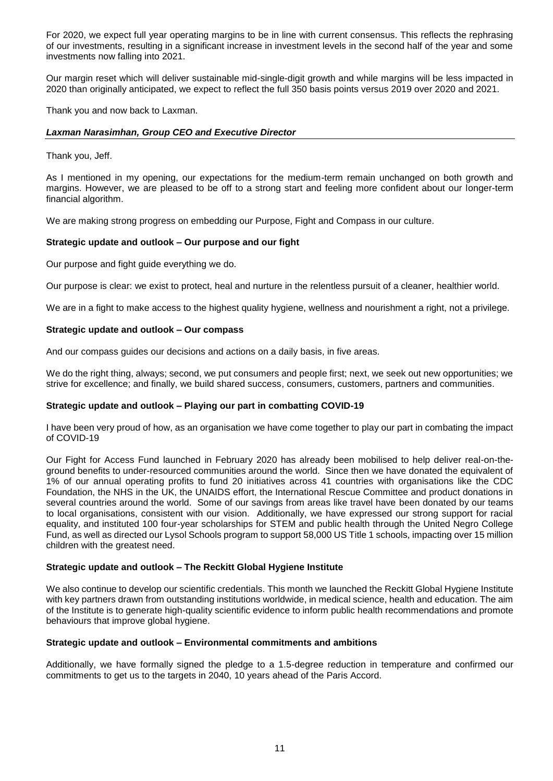For 2020, we expect full year operating margins to be in line with current consensus. This reflects the rephrasing of our investments, resulting in a significant increase in investment levels in the second half of the year and some investments now falling into 2021.

Our margin reset which will deliver sustainable mid-single-digit growth and while margins will be less impacted in 2020 than originally anticipated, we expect to reflect the full 350 basis points versus 2019 over 2020 and 2021.

Thank you and now back to Laxman.

# *Laxman Narasimhan, Group CEO and Executive Director*

Thank you, Jeff.

As I mentioned in my opening, our expectations for the medium-term remain unchanged on both growth and margins. However, we are pleased to be off to a strong start and feeling more confident about our longer-term financial algorithm.

We are making strong progress on embedding our Purpose, Fight and Compass in our culture.

# **Strategic update and outlook – Our purpose and our fight**

Our purpose and fight guide everything we do.

Our purpose is clear: we exist to protect, heal and nurture in the relentless pursuit of a cleaner, healthier world.

We are in a fight to make access to the highest quality hygiene, wellness and nourishment a right, not a privilege.

# **Strategic update and outlook – Our compass**

And our compass guides our decisions and actions on a daily basis, in five areas.

We do the right thing, always; second, we put consumers and people first; next, we seek out new opportunities; we strive for excellence; and finally, we build shared success, consumers, customers, partners and communities.

### **Strategic update and outlook – Playing our part in combatting COVID-19**

I have been very proud of how, as an organisation we have come together to play our part in combating the impact of COVID-19

Our Fight for Access Fund launched in February 2020 has already been mobilised to help deliver real-on-theground benefits to under-resourced communities around the world. Since then we have donated the equivalent of 1% of our annual operating profits to fund 20 initiatives across 41 countries with organisations like the CDC Foundation, the NHS in the UK, the UNAIDS effort, the International Rescue Committee and product donations in several countries around the world. Some of our savings from areas like travel have been donated by our teams to local organisations, consistent with our vision. Additionally, we have expressed our strong support for racial equality, and instituted 100 four-year scholarships for STEM and public health through the United Negro College Fund, as well as directed our Lysol Schools program to support 58,000 US Title 1 schools, impacting over 15 million children with the greatest need.

### **Strategic update and outlook – The Reckitt Global Hygiene Institute**

We also continue to develop our scientific credentials. This month we launched the Reckitt Global Hygiene Institute with key partners drawn from outstanding institutions worldwide, in medical science, health and education. The aim of the Institute is to generate high-quality scientific evidence to inform public health recommendations and promote behaviours that improve global hygiene.

### **Strategic update and outlook – Environmental commitments and ambitions**

Additionally, we have formally signed the pledge to a 1.5-degree reduction in temperature and confirmed our commitments to get us to the targets in 2040, 10 years ahead of the Paris Accord.